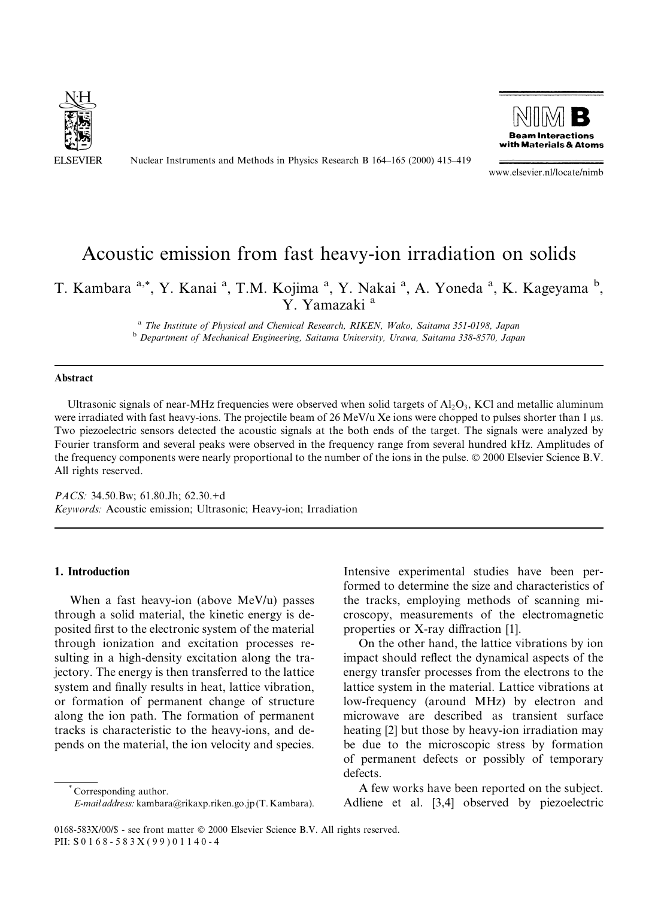

Nuclear Instruments and Methods in Physics Research B 164-165 (2000) 415-419



www.elsevier.nl/locate/nimb

# Acoustic emission from fast heavy-ion irradiation on solids

# T. Kambara <sup>a,\*</sup>, Y. Kanai <sup>a</sup>, T.M. Kojima <sup>a</sup>, Y. Nakai <sup>a</sup>, A. Yoneda <sup>a</sup>, K. Kageyama <sup>b</sup>, Y. Yamazaki<sup>a</sup>

<sup>a</sup> The Institute of Physical and Chemical Research, RIKEN, Wako, Saitama 351-0198, Japan b Department of Mechanical Engineering, Saitama University, Urawa, Saitama 338-8570, Japan

### Abstract

Ultrasonic signals of near-MHz frequencies were observed when solid targets of  $A<sub>1</sub>O<sub>3</sub>$ , KCl and metallic aluminum were irradiated with fast heavy-ions. The projectile beam of 26 MeV/u Xe ions were chopped to pulses shorter than 1 µs. Two piezoelectric sensors detected the acoustic signals at the both ends of the target. The signals were analyzed by Fourier transform and several peaks were observed in the frequency range from several hundred kHz. Amplitudes of the frequency components were nearly proportional to the number of the ions in the pulse. © 2000 Elsevier Science B.V. All rights reserved.

PACS: 34.50.Bw; 61.80.Jh; 62.30.+d Keywords: Acoustic emission; Ultrasonic; Heavy-ion; Irradiation

#### 1. Introduction

When a fast heavy-ion (above MeV/u) passes through a solid material, the kinetic energy is deposited first to the electronic system of the material through ionization and excitation processes resulting in a high-density excitation along the trajectory. The energy is then transferred to the lattice system and finally results in heat, lattice vibration, or formation of permanent change of structure along the ion path. The formation of permanent tracks is characteristic to the heavy-ions, and depends on the material, the ion velocity and species.

Corresponding author.

E-mail address: kambara@rikaxp.riken.go.jp (T. Kambara).

Intensive experimental studies have been performed to determine the size and characteristics of the tracks, employing methods of scanning microscopy, measurements of the electromagnetic properties or X-ray diffraction [1].

On the other hand, the lattice vibrations by ion impact should reflect the dynamical aspects of the energy transfer processes from the electrons to the lattice system in the material. Lattice vibrations at low-frequency (around MHz) by electron and microwave are described as transient surface heating [2] but those by heavy-ion irradiation may be due to the microscopic stress by formation of permanent defects or possibly of temporary defects.

A few works have been reported on the subject. Adliene et al. [3,4] observed by piezoelectric

0168-583X/00/\$ - see front matter © 2000 Elsevier Science B.V. All rights reserved. PII: S 0 168-583X(99)01140-4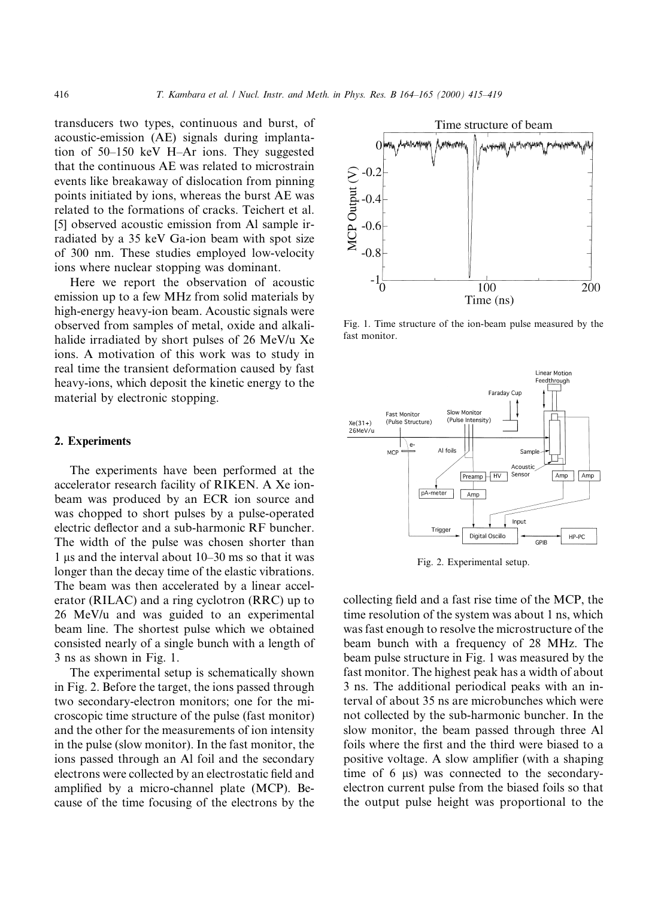transducers two types, continuous and burst, of acoustic-emission (AE) signals during implantation of  $50-150$  keV H-Ar ions. They suggested that the continuous AE was related to microstrain events like breakaway of dislocation from pinning points initiated by ions, whereas the burst AE was related to the formations of cracks. Teichert et al. [5] observed acoustic emission from Al sample irradiated by a 35 keV Ga-ion beam with spot size of 300 nm. These studies employed low-velocity ions where nuclear stopping was dominant.

Here we report the observation of acoustic emission up to a few MHz from solid materials by high-energy heavy-ion beam. Acoustic signals were observed from samples of metal, oxide and alkalihalide irradiated by short pulses of 26 MeV/u Xe ions. A motivation of this work was to study in real time the transient deformation caused by fast heavy-ions, which deposit the kinetic energy to the material by electronic stopping.

#### 2. Experiments

The experiments have been performed at the accelerator research facility of RIKEN. A Xe ionbeam was produced by an ECR ion source and was chopped to short pulses by a pulse-operated electric deflector and a sub-harmonic RF buncher. The width of the pulse was chosen shorter than 1 µs and the interval about  $10-30$  ms so that it was longer than the decay time of the elastic vibrations. The beam was then accelerated by a linear accelerator (RILAC) and a ring cyclotron (RRC) up to 26 MeV/u and was guided to an experimental beam line. The shortest pulse which we obtained consisted nearly of a single bunch with a length of 3 ns as shown in Fig. 1.

The experimental setup is schematically shown in Fig. 2. Before the target, the ions passed through two secondary-electron monitors; one for the microscopic time structure of the pulse (fast monitor) and the other for the measurements of ion intensity in the pulse (slow monitor). In the fast monitor, the ions passed through an Al foil and the secondary electrons were collected by an electrostatic field and amplified by a micro-channel plate (MCP). Because of the time focusing of the electrons by the



Fig. 1. Time structure of the ion-beam pulse measured by the fast monitor.



Fig. 2. Experimental setup.

collecting field and a fast rise time of the MCP, the time resolution of the system was about 1 ns, which was fast enough to resolve the microstructure of the beam bunch with a frequency of 28 MHz. The beam pulse structure in Fig. 1 was measured by the fast monitor. The highest peak has a width of about 3 ns. The additional periodical peaks with an interval of about 35 ns are microbunches which were not collected by the sub-harmonic buncher. In the slow monitor, the beam passed through three Al foils where the first and the third were biased to a positive voltage. A slow amplifier (with a shaping time of  $6 \mu s$ ) was connected to the secondaryelectron current pulse from the biased foils so that the output pulse height was proportional to the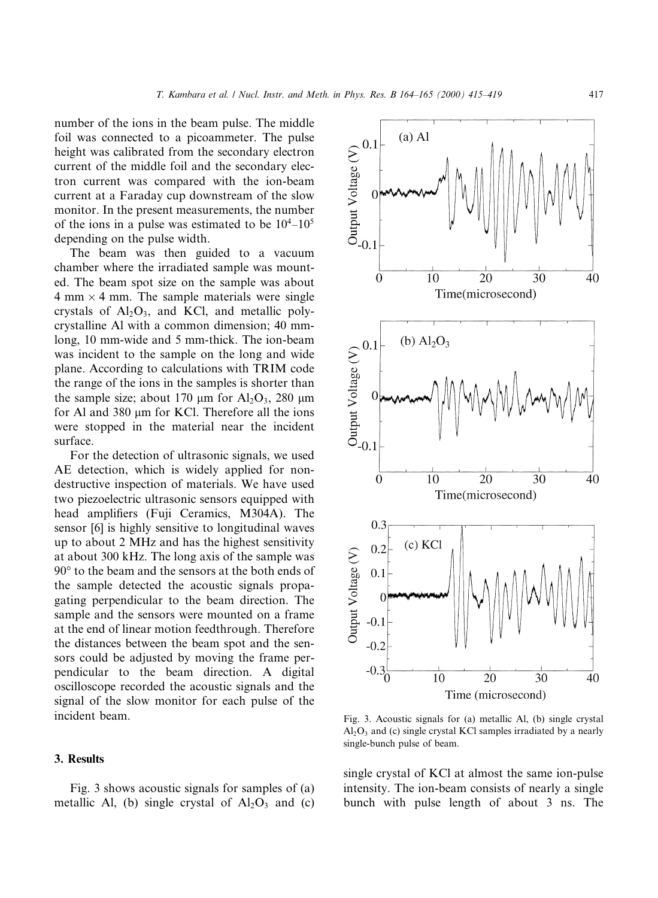number of the ions in the beam pulse. The middle foil was connected to a picoammeter. The pulse height was calibrated from the secondary electron current of the middle foil and the secondary electron current was compared with the ion-beam current at a Faraday cup downstream of the slow monitor. In the present measurements, the number of the ions in a pulse was estimated to be  $10^4$ – $10^5$ depending on the pulse width.

The beam was then guided to a vacuum chamber where the irradiated sample was mounted. The beam spot size on the sample was about  $4 \text{ mm} \times 4 \text{ mm}$ . The sample materials were single crystals of  $Al_2O_3$ , and KCl, and metallic polycrystalline Al with a common dimension; 40 mmlong, 10 mm-wide and 5 mm-thick. The ion-beam was incident to the sample on the long and wide plane. According to calculations with TRIM code the range of the ions in the samples is shorter than the sample size; about 170  $\mu$ m for Al<sub>2</sub>O<sub>3</sub>, 280  $\mu$ m for Al and 380 µm for KCl. Therefore all the ions were stopped in the material near the incident surface.

For the detection of ultrasonic signals, we used AE detection, which is widely applied for nondestructive inspection of materials. We have used two piezoelectric ultrasonic sensors equipped with head amplifiers (Fuji Ceramics, M304A). The sensor [6] is highly sensitive to longitudinal waves up to about 2 MHz and has the highest sensitivity at about 300 kHz. The long axis of the sample was 90° to the beam and the sensors at the both ends of the sample detected the acoustic signals propagating perpendicular to the beam direction. The sample and the sensors were mounted on a frame at the end of linear motion feedthrough. Therefore the distances between the beam spot and the sensors could be adjusted by moving the frame perpendicular to the beam direction. A digital oscilloscope recorded the acoustic signals and the signal of the slow monitor for each pulse of the incident beam.

#### 3. Results

Fig. 3 shows acoustic signals for samples of (a) metallic Al, (b) single crystal of  $Al_2O_3$  and (c)



Fig. 3. Acoustic signals for (a) metallic Al, (b) single crystal  $Al<sub>2</sub>O<sub>3</sub>$  and (c) single crystal KCl samples irradiated by a nearly single-bunch pulse of beam.

single crystal of KCl at almost the same ion-pulse intensity. The ion-beam consists of nearly a single bunch with pulse length of about 3 ns. The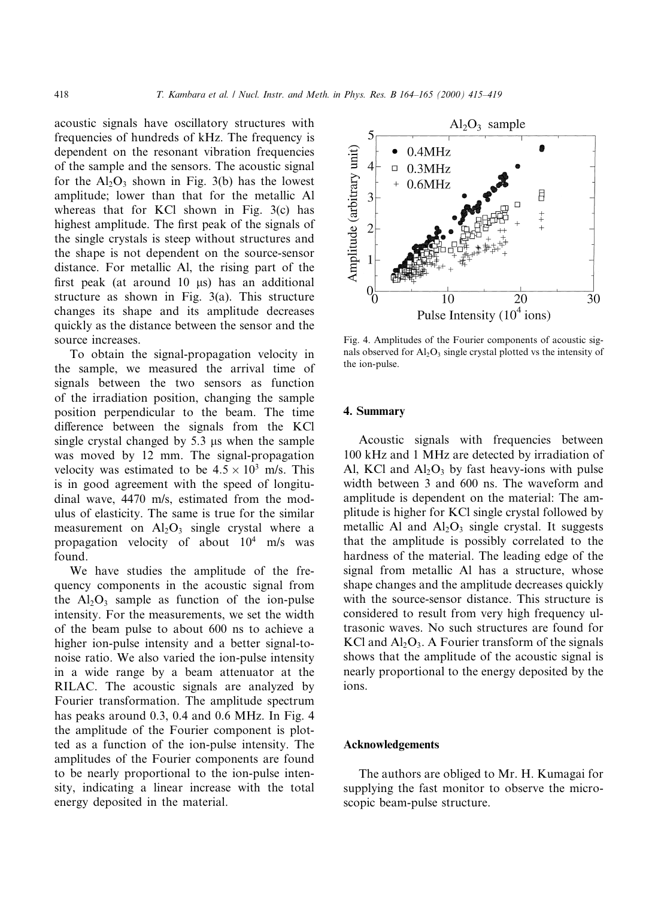acoustic signals have oscillatory structures with frequencies of hundreds of kHz. The frequency is dependent on the resonant vibration frequencies of the sample and the sensors. The acoustic signal for the  $Al_2O_3$  shown in Fig. 3(b) has the lowest amplitude; lower than that for the metallic Al whereas that for KCl shown in Fig. 3(c) has highest amplitude. The first peak of the signals of the single crystals is steep without structures and the shape is not dependent on the source-sensor distance. For metallic Al, the rising part of the first peak (at around  $10 \mu s$ ) has an additional structure as shown in Fig. 3(a). This structure changes its shape and its amplitude decreases quickly as the distance between the sensor and the source increases.

To obtain the signal-propagation velocity in the sample, we measured the arrival time of signals between the two sensors as function of the irradiation position, changing the sample position perpendicular to the beam. The time difference between the signals from the KCl single crystal changed by  $5.3 \mu s$  when the sample was moved by 12 mm. The signal-propagation velocity was estimated to be  $4.5 \times 10^3$  m/s. This is in good agreement with the speed of longitudinal wave, 4470 m/s, estimated from the modulus of elasticity. The same is true for the similar measurement on  $Al_2O_3$  single crystal where a propagation velocity of about  $10^4$  m/s was found.

We have studies the amplitude of the frequency components in the acoustic signal from the  $Al_2O_3$  sample as function of the ion-pulse intensity. For the measurements, we set the width of the beam pulse to about 600 ns to achieve a higher ion-pulse intensity and a better signal-tonoise ratio. We also varied the ion-pulse intensity in a wide range by a beam attenuator at the RILAC. The acoustic signals are analyzed by Fourier transformation. The amplitude spectrum has peaks around 0.3, 0.4 and 0.6 MHz. In Fig. 4 the amplitude of the Fourier component is plotted as a function of the ion-pulse intensity. The amplitudes of the Fourier components are found to be nearly proportional to the ion-pulse intensity, indicating a linear increase with the total energy deposited in the material.



Fig. 4. Amplitudes of the Fourier components of acoustic signals observed for  $A<sub>1</sub>, O<sub>3</sub>$  single crystal plotted vs the intensity of the ion-pulse.

#### 4. Summary

Acoustic signals with frequencies between 100 kHz and 1 MHz are detected by irradiation of Al, KCl and  $Al_2O_3$  by fast heavy-ions with pulse width between 3 and 600 ns. The waveform and amplitude is dependent on the material: The amplitude is higher for KCl single crystal followed by metallic Al and  $Al_2O_3$  single crystal. It suggests that the amplitude is possibly correlated to the hardness of the material. The leading edge of the signal from metallic Al has a structure, whose shape changes and the amplitude decreases quickly with the source-sensor distance. This structure is considered to result from very high frequency ultrasonic waves. No such structures are found for KCl and  $Al_2O_3$ . A Fourier transform of the signals shows that the amplitude of the acoustic signal is nearly proportional to the energy deposited by the ions.

#### Acknowledgements

The authors are obliged to Mr. H. Kumagai for supplying the fast monitor to observe the microscopic beam-pulse structure.